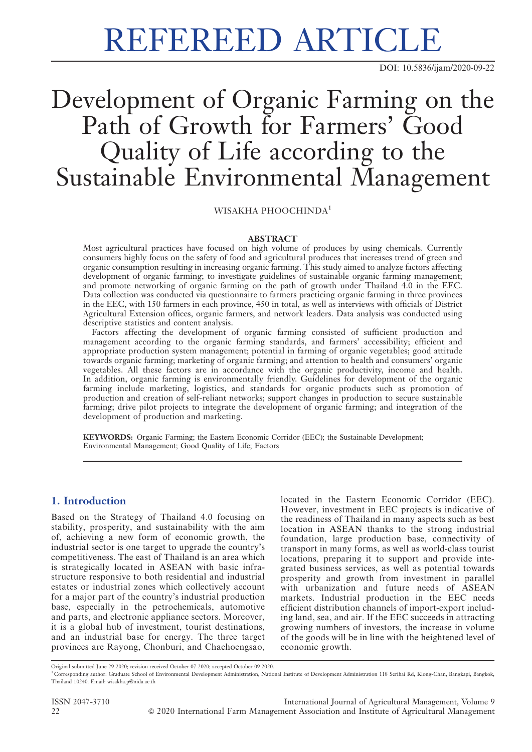# REFEREED ARTICLE

DOI: 10.5836/ijam/2020-09-22

# Development of Organic Farming on the Path of Growth for Farmers' Good Quality of Life according to the Sustainable Environmental Management

WISAKHA PHOOCHINDA<sup>1</sup>

### **ABSTRACT**

Most agricultural practices have focused on high volume of produces by using chemicals. Currently consumers highly focus on the safety of food and agricultural produces that increases trend of green and organic consumption resulting in increasing organic farming. This study aimed to analyze factors affecting development of organic farming; to investigate guidelines of sustainable organic farming management; and promote networking of organic farming on the path of growth under Thailand 4.0 in the EEC. Data collection was conducted via questionnaire to farmers practicing organic farming in three provinces in the EEC, with 150 farmers in each province, 450 in total, as well as interviews with officials of District Agricultural Extension offices, organic farmers, and network leaders. Data analysis was conducted using descriptive statistics and content analysis.

Factors affecting the development of organic farming consisted of sufficient production and management according to the organic farming standards, and farmers' accessibility; efficient and appropriate production system management; potential in farming of organic vegetables; good attitude towards organic farming; marketing of organic farming; and attention to health and consumers' organic vegetables. All these factors are in accordance with the organic productivity, income and health. In addition, organic farming is environmentally friendly. Guidelines for development of the organic farming include marketing, logistics, and standards for organic products such as promotion of production and creation of self-reliant networks; support changes in production to secure sustainable farming; drive pilot projects to integrate the development of organic farming; and integration of the development of production and marketing.

KEYWORDS: Organic Farming; the Eastern Economic Corridor (EEC); the Sustainable Development; Environmental Management; Good Quality of Life; Factors

# 1. Introduction

Based on the Strategy of Thailand 4.0 focusing on stability, prosperity, and sustainability with the aim of, achieving a new form of economic growth, the industrial sector is one target to upgrade the country's competitiveness. The east of Thailand is an area which is strategically located in ASEAN with basic infrastructure responsive to both residential and industrial estates or industrial zones which collectively account for a major part of the country's industrial production base, especially in the petrochemicals, automotive and parts, and electronic appliance sectors. Moreover, it is a global hub of investment, tourist destinations, and an industrial base for energy. The three target provinces are Rayong, Chonburi, and Chachoengsao,

located in the Eastern Economic Corridor (EEC). However, investment in EEC projects is indicative of the readiness of Thailand in many aspects such as best location in ASEAN thanks to the strong industrial foundation, large production base, connectivity of transport in many forms, as well as world-class tourist locations, preparing it to support and provide integrated business services, as well as potential towards prosperity and growth from investment in parallel with urbanization and future needs of ASEAN markets. Industrial production in the EEC needs efficient distribution channels of import-export including land, sea, and air. If the EEC succeeds in attracting growing numbers of investors, the increase in volume of the goods will be in line with the heightened level of economic growth.

Original submitted June 29 2020; revision received October 07 2020; accepted October 09 2020.

<sup>1</sup> Corresponding author: Graduate School of Environmental Development Administration, National Institute of Development Administration 118 Serihai Rd, Klong-Chan, Bangkapi, Bangkok, Thailand 10240. Email: wisakha.p@nida.ac.th

ISSN 2047-3710 International Journal of Agricultural Management, Volume 9 22 & 2020 International Farm Management Association and Institute of Agricultural Management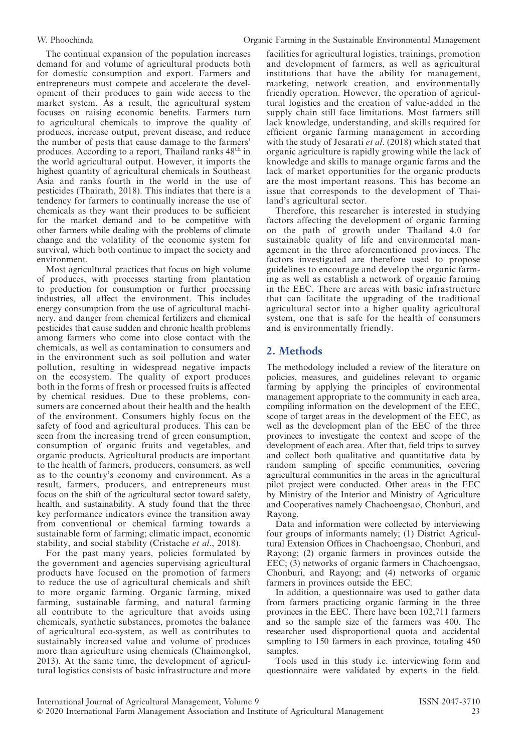The continual expansion of the population increases demand for and volume of agricultural products both for domestic consumption and export. Farmers and entrepreneurs must compete and accelerate the development of their produces to gain wide access to the market system. As a result, the agricultural system focuses on raising economic benefits. Farmers turn to agricultural chemicals to improve the quality of produces, increase output, prevent disease, and reduce the number of pests that cause damage to the farmers' produces. According to a report, Thailand ranks  $48<sup>th</sup>$  in the world agricultural output. However, it imports the highest quantity of agricultural chemicals in Southeast Asia and ranks fourth in the world in the use of pesticides (Thairath, 2018). This indiates that there is a tendency for farmers to continually increase the use of chemicals as they want their produces to be sufficient for the market demand and to be competitive with other farmers while dealing with the problems of climate change and the volatility of the economic system for survival, which both continue to impact the society and environment.

Most agricultural practices that focus on high volume of produces, with processes starting from plantation to production for consumption or further processing industries, all affect the environment. This includes energy consumption from the use of agricultural machinery, and danger from chemical fertilizers and chemical pesticides that cause sudden and chronic health problems among farmers who come into close contact with the chemicals, as well as contamination to consumers and in the environment such as soil pollution and water pollution, resulting in widespread negative impacts on the ecosystem. The quality of export produces both in the forms of fresh or processed fruits is affected by chemical residues. Due to these problems, consumers are concerned about their health and the health of the environment. Consumers highly focus on the safety of food and agricultural produces. This can be seen from the increasing trend of green consumption, consumption of organic fruits and vegetables, and organic products. Agricultural products are important to the health of farmers, producers, consumers, as well as to the country's economy and environment. As a result, farmers, producers, and entrepreneurs must focus on the shift of the agricultural sector toward safety, health, and sustainability. A study found that the three key performance indicators evince the transition away from conventional or chemical farming towards a sustainable form of farming; climatic impact, economic stability, and social stability (Cristache et al., 2018).

For the past many years, policies formulated by the government and agencies supervising agricultural products have focused on the promotion of farmers to reduce the use of agricultural chemicals and shift to more organic farming. Organic farming, mixed farming, sustainable farming, and natural farming all contribute to the agriculture that avoids using chemicals, synthetic substances, promotes the balance of agricultural eco-system, as well as contributes to sustainably increased value and volume of produces more than agriculture using chemicals (Chaimongkol, 2013). At the same time, the development of agricultural logistics consists of basic infrastructure and more facilities for agricultural logistics, trainings, promotion and development of farmers, as well as agricultural institutions that have the ability for management, marketing, network creation, and environmentally friendly operation. However, the operation of agricultural logistics and the creation of value-added in the supply chain still face limitations. Most farmers still lack knowledge, understanding, and skills required for efficient organic farming management in according with the study of Jesarati et al. (2018) which stated that organic agriculture is rapidly growing while the lack of knowledge and skills to manage organic farms and the lack of market opportunities for the organic products are the most important reasons. This has become an issue that corresponds to the development of Thailand's agricultural sector.

Therefore, this researcher is interested in studying factors affecting the development of organic farming on the path of growth under Thailand 4.0 for sustainable quality of life and environmental management in the three aforementioned provinces. The factors investigated are therefore used to propose guidelines to encourage and develop the organic farming as well as establish a network of organic farming in the EEC. There are areas with basic infrastructure that can facilitate the upgrading of the traditional agricultural sector into a higher quality agricultural system, one that is safe for the health of consumers and is environmentally friendly.

# 2. Methods

The methodology included a review of the literature on policies, measures, and guidelines relevant to organic farming by applying the principles of environmental management appropriate to the community in each area, compiling information on the development of the EEC, scope of target areas in the development of the EEC, as well as the development plan of the EEC of the three provinces to investigate the context and scope of the development of each area. After that, field trips to survey and collect both qualitative and quantitative data by random sampling of specific communities, covering agricultural communities in the areas in the agricultural pilot project were conducted. Other areas in the EEC by Ministry of the Interior and Ministry of Agriculture and Cooperatives namely Chachoengsao, Chonburi, and Rayong.

Data and information were collected by interviewing four groups of informants namely; (1) District Agricultural Extension Offices in Chachoengsao, Chonburi, and Rayong; (2) organic farmers in provinces outside the EEC; (3) networks of organic farmers in Chachoengsao, Chonburi, and Rayong; and (4) networks of organic farmers in provinces outside the EEC.

In addition, a questionnaire was used to gather data from farmers practicing organic farming in the three provinces in the EEC. There have been 102,711 farmers and so the sample size of the farmers was 400. The researcher used disproportional quota and accidental sampling to 150 farmers in each province, totaling 450 samples.

Tools used in this study i.e. interviewing form and questionnaire were validated by experts in the field.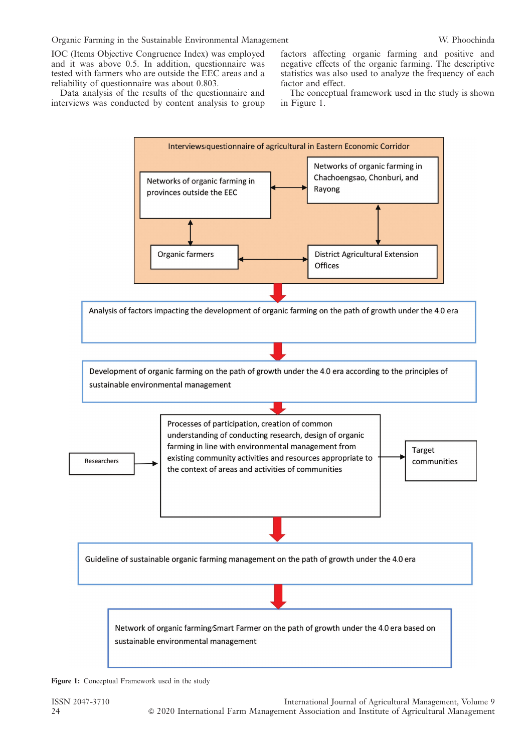IOC (Items Objective Congruence Index) was employed and it was above 0.5. In addition, questionnaire was tested with farmers who are outside the EEC areas and a reliability of questionnaire was about 0.803.

Data analysis of the results of the questionnaire and interviews was conducted by content analysis to group factors affecting organic farming and positive and negative effects of the organic farming. The descriptive statistics was also used to analyze the frequency of each factor and effect.

The conceptual framework used in the study is shown in Figure 1.



Figure 1: Conceptual Framework used in the study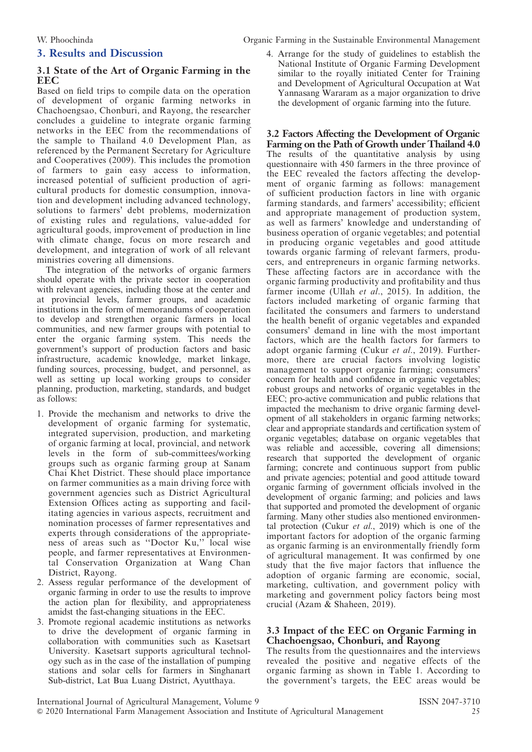## 3. Results and Discussion

#### 3.1 State of the Art of Organic Farming in the **EEC**

Based on field trips to compile data on the operation of development of organic farming networks in Chachoengsao, Chonburi, and Rayong, the researcher concludes a guideline to integrate organic farming networks in the EEC from the recommendations of the sample to Thailand 4.0 Development Plan, as referenced by the Permanent Secretary for Agriculture and Cooperatives (2009). This includes the promotion of farmers to gain easy access to information, increased potential of sufficient production of agricultural products for domestic consumption, innovation and development including advanced technology, solutions to farmers' debt problems, modernization of existing rules and regulations, value-added for agricultural goods, improvement of production in line with climate change, focus on more research and development, and integration of work of all relevant ministries covering all dimensions.

The integration of the networks of organic farmers should operate with the private sector in cooperation with relevant agencies, including those at the center and at provincial levels, farmer groups, and academic institutions in the form of memorandums of cooperation to develop and strengthen organic farmers in local communities, and new farmer groups with potential to enter the organic farming system. This needs the government's support of production factors and basic infrastructure, academic knowledge, market linkage, funding sources, processing, budget, and personnel, as well as setting up local working groups to consider planning, production, marketing, standards, and budget as follows:

- 1. Provide the mechanism and networks to drive the development of organic farming for systematic, integrated supervision, production, and marketing of organic farming at local, provincial, and network levels in the form of sub-committees/working groups such as organic farming group at Sanam Chai Khet District. These should place importance on farmer communities as a main driving force with government agencies such as District Agricultural Extension Offices acting as supporting and facilitating agencies in various aspects, recruitment and nomination processes of farmer representatives and experts through considerations of the appropriateness of areas such as ''Doctor Ku,'' local wise people, and farmer representatives at Environmental Conservation Organization at Wang Chan District, Rayong.
- 2. Assess regular performance of the development of organic farming in order to use the results to improve the action plan for flexibility, and appropriateness amidst the fast-changing situations in the EEC.
- 3. Promote regional academic institutions as networks to drive the development of organic farming in collaboration with communities such as Kasetsart University. Kasetsart supports agricultural technology such as in the case of the installation of pumping stations and solar cells for farmers in Singhanart Sub-district, Lat Bua Luang District, Ayutthaya.

4. Arrange for the study of guidelines to establish the National Institute of Organic Farming Development similar to the royally initiated Center for Training and Development of Agricultural Occupation at Wat Yannasang Wararam as a major organization to drive the development of organic farming into the future.

3.2 Factors Affecting the Development of Organic Farming on the Path of Growth under Thailand 4.0 The results of the quantitative analysis by using questionnaire with 450 farmers in the three province of the EEC revealed the factors affecting the development of organic farming as follows: management of sufficient production factors in line with organic farming standards, and farmers' accessibility; efficient and appropriate management of production system, as well as farmers' knowledge and understanding of business operation of organic vegetables; and potential in producing organic vegetables and good attitude towards organic farming of relevant farmers, producers, and entrepreneurs in organic farming networks. These affecting factors are in accordance with the organic farming productivity and profitability and thus farmer income (Ullah et al., 2015). In addition, the factors included marketing of organic farming that facilitated the consumers and farmers to understand the health benefit of organic vegetables and expanded consumers' demand in line with the most important factors, which are the health factors for farmers to adopt organic farming (Cukur et al., 2019). Furthermore, there are crucial factors involving logistic management to support organic farming; consumers' concern for health and confidence in organic vegetables; robust groups and networks of organic vegetables in the EEC; pro-active communication and public relations that impacted the mechanism to drive organic farming development of all stakeholders in organic farming networks; clear and appropriate standards and certification system of organic vegetables; database on organic vegetables that was reliable and accessible, covering all dimensions; research that supported the development of organic farming; concrete and continuous support from public and private agencies; potential and good attitude toward organic farming of government officials involved in the development of organic farming; and policies and laws that supported and promoted the development of organic farming. Many other studies also mentioned environmental protection (Cukur *et al.*, 2019) which is one of the important factors for adoption of the organic farming as organic farming is an environmentally friendly form of agricultural management. It was confirmed by one study that the five major factors that influence the adoption of organic farming are economic, social, marketing, cultivation, and government policy with marketing and government policy factors being most crucial (Azam & Shaheen, 2019).

#### 3.3 Impact of the EEC on Organic Farming in Chachoengsao, Chonburi, and Rayong

The results from the questionnaires and the interviews revealed the positive and negative effects of the organic farming as shown in Table 1. According to the government's targets, the EEC areas would be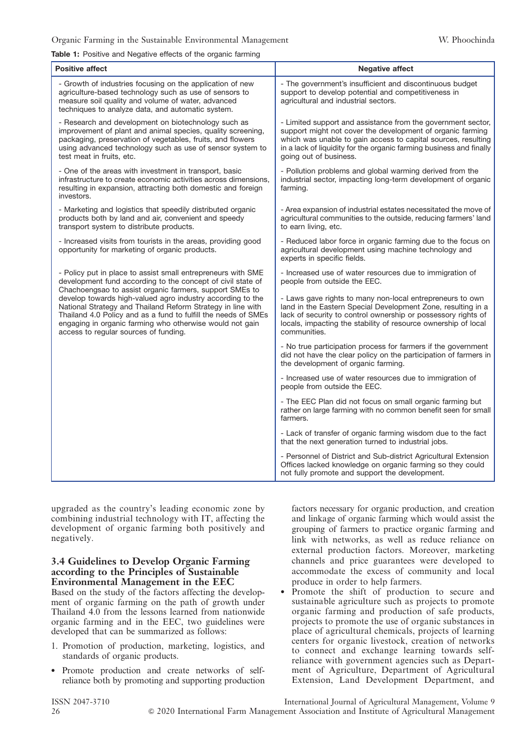#### Table 1: Positive and Negative effects of the organic farming

| <b>Positive affect</b>                                                                                                                                                                                                                                                                                                                                                                                                                                                                     | <b>Negative affect</b>                                                                                                                                                                                                                                                                       |
|--------------------------------------------------------------------------------------------------------------------------------------------------------------------------------------------------------------------------------------------------------------------------------------------------------------------------------------------------------------------------------------------------------------------------------------------------------------------------------------------|----------------------------------------------------------------------------------------------------------------------------------------------------------------------------------------------------------------------------------------------------------------------------------------------|
| - Growth of industries focusing on the application of new<br>agriculture-based technology such as use of sensors to<br>measure soil quality and volume of water, advanced<br>techniques to analyze data, and automatic system.                                                                                                                                                                                                                                                             | - The government's insufficient and discontinuous budget<br>support to develop potential and competitiveness in<br>agricultural and industrial sectors.                                                                                                                                      |
| - Research and development on biotechnology such as<br>improvement of plant and animal species, quality screening,<br>packaging, preservation of vegetables, fruits, and flowers<br>using advanced technology such as use of sensor system to<br>test meat in fruits, etc.                                                                                                                                                                                                                 | - Limited support and assistance from the government sector,<br>support might not cover the development of organic farming<br>which was unable to gain access to capital sources, resulting<br>in a lack of liquidity for the organic farming business and finally<br>going out of business. |
| - One of the areas with investment in transport, basic<br>infrastructure to create economic activities across dimensions,<br>resulting in expansion, attracting both domestic and foreign<br>investors.                                                                                                                                                                                                                                                                                    | - Pollution problems and global warming derived from the<br>industrial sector, impacting long-term development of organic<br>farming.                                                                                                                                                        |
| - Marketing and logistics that speedily distributed organic<br>products both by land and air, convenient and speedy<br>transport system to distribute products.                                                                                                                                                                                                                                                                                                                            | - Area expansion of industrial estates necessitated the move of<br>agricultural communities to the outside, reducing farmers' land<br>to earn living, etc.                                                                                                                                   |
| - Increased visits from tourists in the areas, providing good<br>opportunity for marketing of organic products.                                                                                                                                                                                                                                                                                                                                                                            | - Reduced labor force in organic farming due to the focus on<br>agricultural development using machine technology and<br>experts in specific fields.                                                                                                                                         |
| - Policy put in place to assist small entrepreneurs with SME<br>development fund according to the concept of civil state of<br>Chachoengsao to assist organic farmers, support SMEs to<br>develop towards high-valued agro industry according to the<br>National Strategy and Thailand Reform Strategy in line with<br>Thailand 4.0 Policy and as a fund to fulfill the needs of SMEs<br>engaging in organic farming who otherwise would not gain<br>access to regular sources of funding. | - Increased use of water resources due to immigration of<br>people from outside the EEC.                                                                                                                                                                                                     |
|                                                                                                                                                                                                                                                                                                                                                                                                                                                                                            | - Laws gave rights to many non-local entrepreneurs to own<br>land in the Eastern Special Development Zone, resulting in a<br>lack of security to control ownership or possessory rights of<br>locals, impacting the stability of resource ownership of local<br>communities.                 |
|                                                                                                                                                                                                                                                                                                                                                                                                                                                                                            | - No true participation process for farmers if the government<br>did not have the clear policy on the participation of farmers in<br>the development of organic farming.                                                                                                                     |
|                                                                                                                                                                                                                                                                                                                                                                                                                                                                                            | - Increased use of water resources due to immigration of<br>people from outside the EEC.                                                                                                                                                                                                     |
|                                                                                                                                                                                                                                                                                                                                                                                                                                                                                            | - The EEC Plan did not focus on small organic farming but<br>rather on large farming with no common benefit seen for small<br>farmers.                                                                                                                                                       |
|                                                                                                                                                                                                                                                                                                                                                                                                                                                                                            | - Lack of transfer of organic farming wisdom due to the fact<br>that the next generation turned to industrial jobs.                                                                                                                                                                          |
|                                                                                                                                                                                                                                                                                                                                                                                                                                                                                            | - Personnel of District and Sub-district Agricultural Extension<br>Offices lacked knowledge on organic farming so they could<br>not fully promote and support the development.                                                                                                               |

upgraded as the country's leading economic zone by combining industrial technology with IT, affecting the development of organic farming both positively and negatively.

#### 3.4 Guidelines to Develop Organic Farming according to the Principles of Sustainable Environmental Management in the EEC

Based on the study of the factors affecting the development of organic farming on the path of growth under Thailand 4.0 from the lessons learned from nationwide organic farming and in the EEC, two guidelines were developed that can be summarized as follows:

- 1. Promotion of production, marketing, logistics, and standards of organic products.
- Promote production and create networks of selfreliance both by promoting and supporting production

factors necessary for organic production, and creation and linkage of organic farming which would assist the grouping of farmers to practice organic farming and link with networks, as well as reduce reliance on external production factors. Moreover, marketing channels and price guarantees were developed to accommodate the excess of community and local produce in order to help farmers.

 Promote the shift of production to secure and sustainable agriculture such as projects to promote organic farming and production of safe products, projects to promote the use of organic substances in place of agricultural chemicals, projects of learning centers for organic livestock, creation of networks to connect and exchange learning towards selfreliance with government agencies such as Department of Agriculture, Department of Agricultural Extension, Land Development Department, and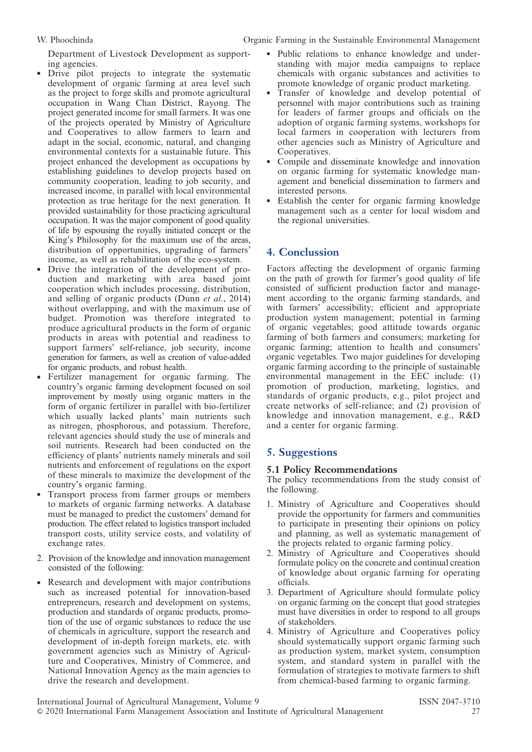Department of Livestock Development as supporting agencies.

- Drive pilot projects to integrate the systematic development of organic farming at area level such as the project to forge skills and promote agricultural occupation in Wang Chan District, Rayong. The project generated income for small farmers. It was one of the projects operated by Ministry of Agriculture and Cooperatives to allow farmers to learn and adapt in the social, economic, natural, and changing environmental contexts for a sustainable future. This project enhanced the development as occupations by establishing guidelines to develop projects based on community cooperation, leading to job security, and increased income, in parallel with local environmental protection as true heritage for the next generation. It provided sustainability for those practicing agricultural occupation. It was the major component of good quality of life by espousing the royally initiated concept or the King's Philosophy for the maximum use of the areas, distribution of opportunities, upgrading of farmers' income, as well as rehabilitation of the eco-system.
- Drive the integration of the development of production and marketing with area based joint cooperation which includes processing, distribution, and selling of organic products (Dunn et al., 2014) without overlapping, and with the maximum use of budget. Promotion was therefore integrated to produce agricultural products in the form of organic products in areas with potential and readiness to support farmers' self-reliance, job security, income generation for farmers, as well as creation of value-added for organic products, and robust health.
- Fertilizer management for organic farming. The country's organic farming development focused on soil improvement by mostly using organic matters in the form of organic fertilizer in parallel with bio-fertilizer which usually lacked plants' main nutrients such as nitrogen, phosphorous, and potassium. Therefore, relevant agencies should study the use of minerals and soil nutrients. Research had been conducted on the efficiency of plants' nutrients namely minerals and soil nutrients and enforcement of regulations on the export of these minerals to maximize the development of the country's organic farming.
- Transport process from farmer groups or members to markets of organic farming networks. A database must be managed to predict the customers' demand for production. The effect related to logistics transport included transport costs, utility service costs, and volatility of exchange rates.
- 2. Provision of the knowledge and innovation management consisted of the following:
- Research and development with major contributions such as increased potential for innovation-based entrepreneurs, research and development on systems, production and standards of organic products, promotion of the use of organic substances to reduce the use of chemicals in agriculture, support the research and development of in-depth foreign markets, etc. with government agencies such as Ministry of Agriculture and Cooperatives, Ministry of Commerce, and National Innovation Agency as the main agencies to drive the research and development.
- Public relations to enhance knowledge and understanding with major media campaigns to replace chemicals with organic substances and activities to promote knowledge of organic product marketing.
- Transfer of knowledge and develop potential of personnel with major contributions such as training for leaders of farmer groups and officials on the adoption of organic farming systems, workshops for local farmers in cooperation with lecturers from other agencies such as Ministry of Agriculture and Cooperatives.
- Compile and disseminate knowledge and innovation on organic farming for systematic knowledge management and beneficial dissemination to farmers and interested persons.
- Establish the center for organic farming knowledge management such as a center for local wisdom and the regional universities.

# 4. Conclussion

Factors affecting the development of organic farming on the path of growth for farmer's good quality of life consisted of sufficient production factor and management according to the organic farming standards, and with farmers' accessibility; efficient and appropriate production system management; potential in farming of organic vegetables; good attitude towards organic farming of both farmers and consumers; marketing for organic farming; attention to health and consumers' organic vegetables. Two major guidelines for developing organic farming according to the principle of sustainable environmental management in the EEC include: (1) promotion of production, marketing, logistics, and standards of organic products, e.g., pilot project and create networks of self-reliance; and (2) provision of knowledge and innovation management, e.g., R&D and a center for organic farming.

# 5. Suggestions

# 5.1 Policy Recommendations

The policy recommendations from the study consist of the following.

- 1. Ministry of Agriculture and Cooperatives should provide the opportunity for farmers and communities to participate in presenting their opinions on policy and planning, as well as systematic management of the projects related to organic farming policy.
- 2. Ministry of Agriculture and Cooperatives should formulate policy on the concrete and continual creation of knowledge about organic farming for operating officials.
- 3. Department of Agriculture should formulate policy on organic farming on the concept that good strategies must have diversities in order to respond to all groups of stakeholders.
- 4. Ministry of Agriculture and Cooperatives policy should systematically support organic farming such as production system, market system, consumption system, and standard system in parallel with the formulation of strategies to motivate farmers to shift from chemical-based farming to organic farming.

International Journal of Agricultural Management, Volume 9 ISSN 2047-3710 & 2020 International Farm Management Association and Institute of Agricultural Management 27